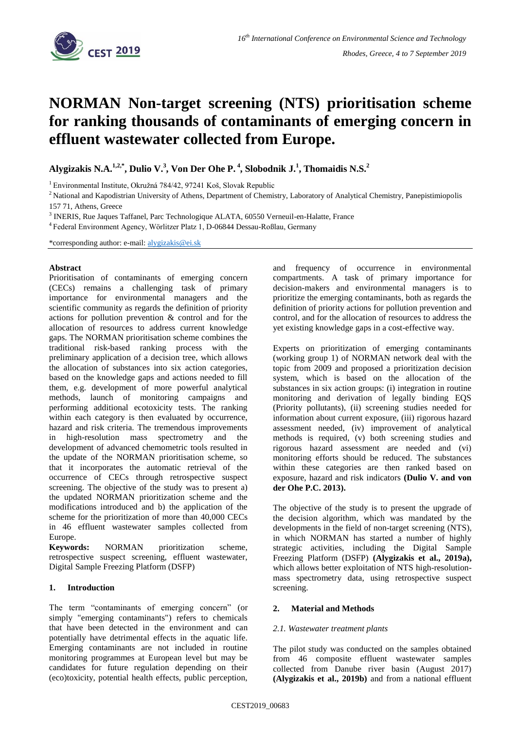

# **NORMAN Non-target screening (NTS) prioritisation scheme for ranking thousands of contaminants of emerging concern in effluent wastewater collected from Europe.**

**Alygizakis N.A.1,2,\* , Dulio V. 3 , Von Der Ohe P. <sup>4</sup> , Slobodnik J.<sup>1</sup> , Thomaidis N.S.<sup>2</sup>**

<sup>1</sup> Environmental Institute, Okružná 784/42, 97241 Koš, Slovak Republic

<sup>2</sup> National and Kapodistrian University of Athens, Department of Chemistry, Laboratory of Analytical Chemistry, Panepistimiopolis 157 71, Athens, Greece

<sup>3</sup> INERIS, Rue Jaques Taffanel, Parc Technologique ALATA, 60550 Verneuil-en-Halatte, France

4 Federal Environment Agency, Wörlitzer Platz 1, D-06844 Dessau-Roßlau, Germany

\*corresponding author: e-mail: [alygizakis@e](mailto:alygizakis@)i.sk

#### **Abstract**

Prioritisation of contaminants of emerging concern (CECs) remains a challenging task of primary importance for environmental managers and the scientific community as regards the definition of priority actions for pollution prevention & control and for the allocation of resources to address current knowledge gaps. The NORMAN prioritisation scheme combines the traditional risk-based ranking process with the preliminary application of a decision tree, which allows the allocation of substances into six action categories, based on the knowledge gaps and actions needed to fill them, e.g. development of more powerful analytical methods, launch of monitoring campaigns and performing additional ecotoxicity tests. The ranking within each category is then evaluated by occurrence, hazard and risk criteria. The tremendous improvements in high-resolution mass spectrometry and the development of advanced chemometric tools resulted in the update of the NORMAN prioritisation scheme, so that it incorporates the automatic retrieval of the occurrence of CECs through retrospective suspect screening. The objective of the study was to present a) the updated NORMAN prioritization scheme and the modifications introduced and b) the application of the scheme for the prioritization of more than 40,000 CECs in 46 effluent wastewater samples collected from Europe.

**Keywords:** NORMAN prioritization scheme, retrospective suspect screening, effluent wastewater, Digital Sample Freezing Platform (DSFP)

# **1. Introduction**

The term "contaminants of emerging concern" (or simply "emerging contaminants") refers to chemicals that have been detected in the environment and can potentially have detrimental effects in the aquatic life. Emerging contaminants are not included in routine monitoring programmes at European level but may be candidates for future regulation depending on their (eco)toxicity, potential health effects, public perception,

and frequency of occurrence in environmental compartments. A task of primary importance for decision-makers and environmental managers is to prioritize the emerging contaminants, both as regards the definition of priority actions for pollution prevention and control, and for the allocation of resources to address the yet existing knowledge gaps in a cost-effective way.

Experts on prioritization of emerging contaminants (working group 1) of NORMAN network deal with the topic from 2009 and proposed a prioritization decision system, which is based on the allocation of the substances in six action groups: (i) integration in routine monitoring and derivation of legally binding EQS (Priority pollutants), (ii) screening studies needed for information about current exposure, (iii) rigorous hazard assessment needed, (iv) improvement of analytical methods is required, (v) both screening studies and rigorous hazard assessment are needed and (vi) monitoring efforts should be reduced. The substances within these categories are then ranked based on exposure, hazard and risk indicators **(Dulio V. and von der Ohe P.C. 2013).**

The objective of the study is to present the upgrade of the decision algorithm, which was mandated by the developments in the field of non-target screening (NTS), in which NORMAN has started a number of highly strategic activities, including the Digital Sample Freezing Platform (DSFP) **(Alygizakis et al., 2019a),** which allows better exploitation of NTS high-resolutionmass spectrometry data, using retrospective suspect screening.

# **2. Material and Methods**

# *2.1. Wastewater treatment plants*

The pilot study was conducted on the samples obtained from 46 composite effluent wastewater samples collected from Danube river basin (August 2017) **(Alygizakis et al., 2019b)** and from a national effluent